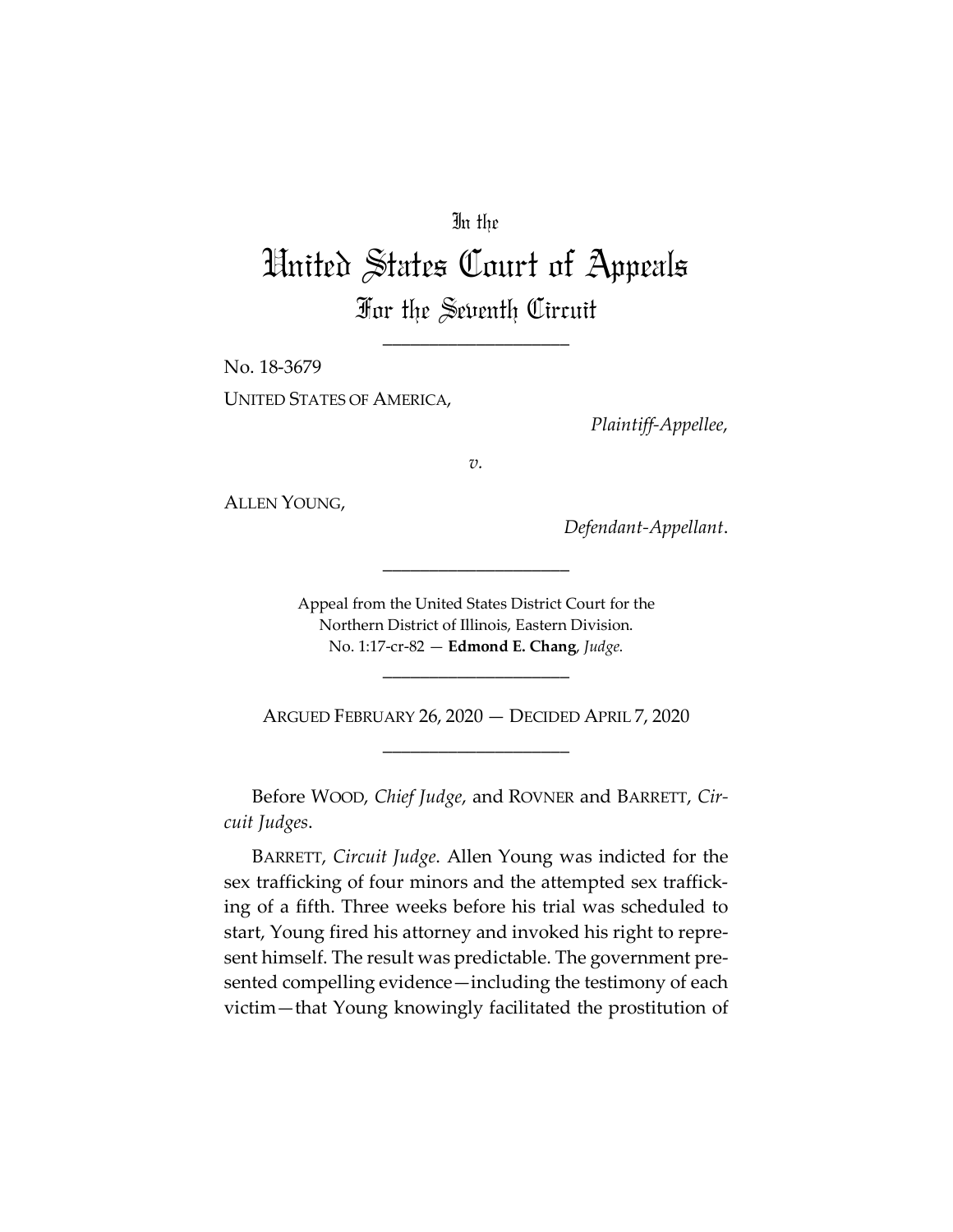# In the

# United States Court of Appeals For the Seventh Circuit

\_\_\_\_\_\_\_\_\_\_\_\_\_\_\_\_\_\_\_\_

No. 18-3679 UNITED STATES OF AMERICA,

*Plaintiff-Appellee*,

*v.*

ALLEN YOUNG,

*Defendant-Appellant*.

Appeal from the United States District Court for the Northern District of Illinois, Eastern Division. No. 1:17-cr-82 — **Edmond E. Chang**, *Judge*.

\_\_\_\_\_\_\_\_\_\_\_\_\_\_\_\_\_\_\_\_

\_\_\_\_\_\_\_\_\_\_\_\_\_\_\_\_\_\_\_\_

ARGUED FEBRUARY 26, 2020 — DECIDED APRIL 7, 2020 \_\_\_\_\_\_\_\_\_\_\_\_\_\_\_\_\_\_\_\_

Before WOOD, *Chief Judge*, and ROVNER and BARRETT, *Circuit Judges*.

BARRETT, *Circuit Judge*. Allen Young was indicted for the sex trafficking of four minors and the attempted sex trafficking of a fifth. Three weeks before his trial was scheduled to start, Young fired his attorney and invoked his right to represent himself. The result was predictable. The government presented compelling evidence—including the testimony of each victim—that Young knowingly facilitated the prostitution of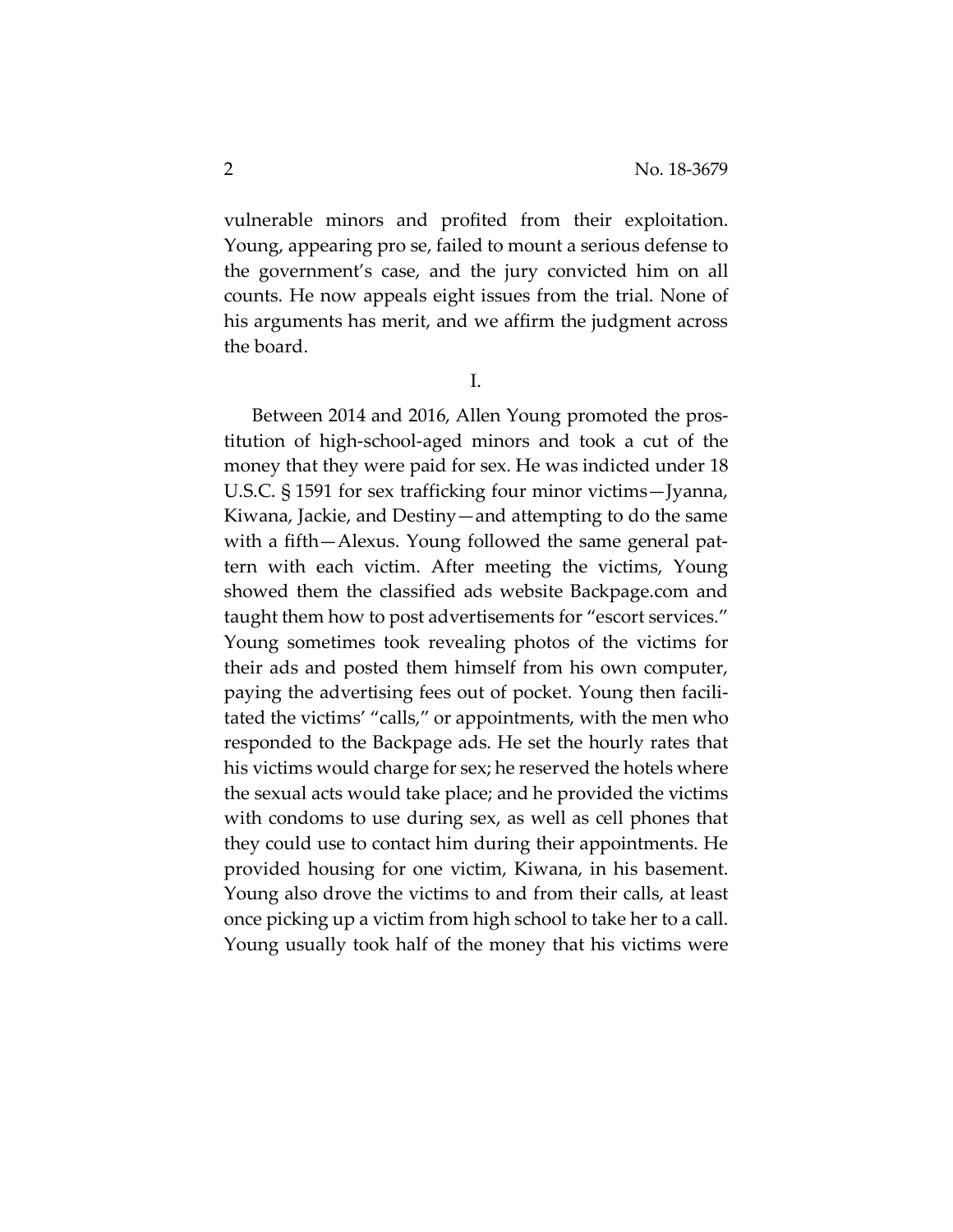vulnerable minors and profited from their exploitation. Young, appearing pro se, failed to mount a serious defense to the government's case, and the jury convicted him on all counts. He now appeals eight issues from the trial. None of his arguments has merit, and we affirm the judgment across the board.

I.

Between 2014 and 2016, Allen Young promoted the prostitution of high-school-aged minors and took a cut of the money that they were paid for sex. He was indicted under 18 U.S.C. § 1591 for sex trafficking four minor victims—Jyanna, Kiwana, Jackie, and Destiny—and attempting to do the same with a fifth—Alexus. Young followed the same general pattern with each victim. After meeting the victims, Young showed them the classified ads website Backpage.com and taught them how to post advertisements for "escort services." Young sometimes took revealing photos of the victims for their ads and posted them himself from his own computer, paying the advertising fees out of pocket. Young then facilitated the victims' "calls," or appointments, with the men who responded to the Backpage ads. He set the hourly rates that his victims would charge for sex; he reserved the hotels where the sexual acts would take place; and he provided the victims with condoms to use during sex, as well as cell phones that they could use to contact him during their appointments. He provided housing for one victim, Kiwana, in his basement. Young also drove the victims to and from their calls, at least once picking up a victim from high school to take her to a call. Young usually took half of the money that his victims were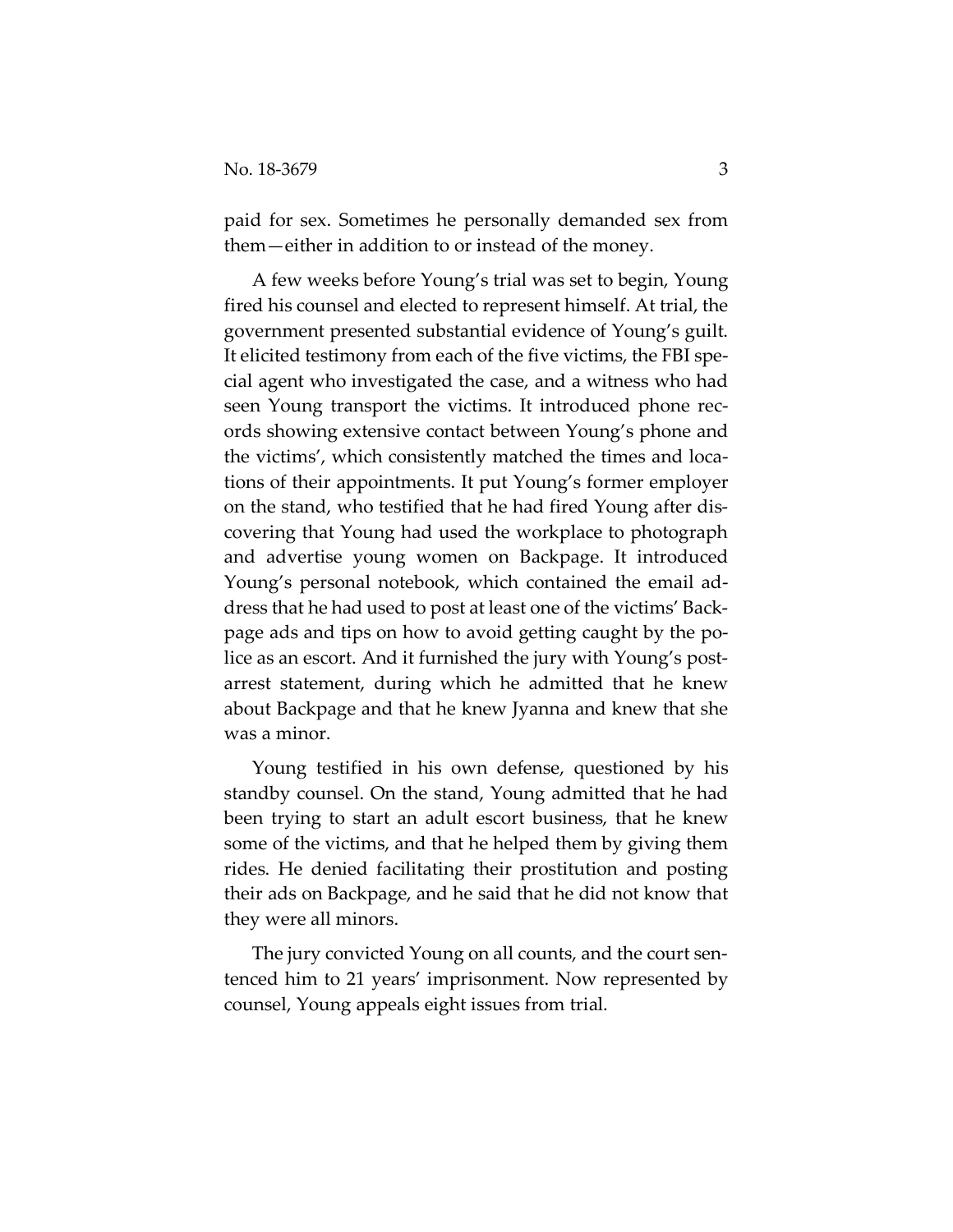paid for sex. Sometimes he personally demanded sex from them—either in addition to or instead of the money.

A few weeks before Young's trial was set to begin, Young fired his counsel and elected to represent himself. At trial, the government presented substantial evidence of Young's guilt. It elicited testimony from each of the five victims, the FBI special agent who investigated the case, and a witness who had seen Young transport the victims. It introduced phone records showing extensive contact between Young's phone and the victims', which consistently matched the times and locations of their appointments. It put Young's former employer on the stand, who testified that he had fired Young after discovering that Young had used the workplace to photograph and advertise young women on Backpage. It introduced Young's personal notebook, which contained the email address that he had used to post at least one of the victims' Backpage ads and tips on how to avoid getting caught by the police as an escort. And it furnished the jury with Young's postarrest statement, during which he admitted that he knew about Backpage and that he knew Jyanna and knew that she was a minor.

Young testified in his own defense, questioned by his standby counsel. On the stand, Young admitted that he had been trying to start an adult escort business, that he knew some of the victims, and that he helped them by giving them rides. He denied facilitating their prostitution and posting their ads on Backpage, and he said that he did not know that they were all minors.

The jury convicted Young on all counts, and the court sentenced him to 21 years' imprisonment. Now represented by counsel, Young appeals eight issues from trial.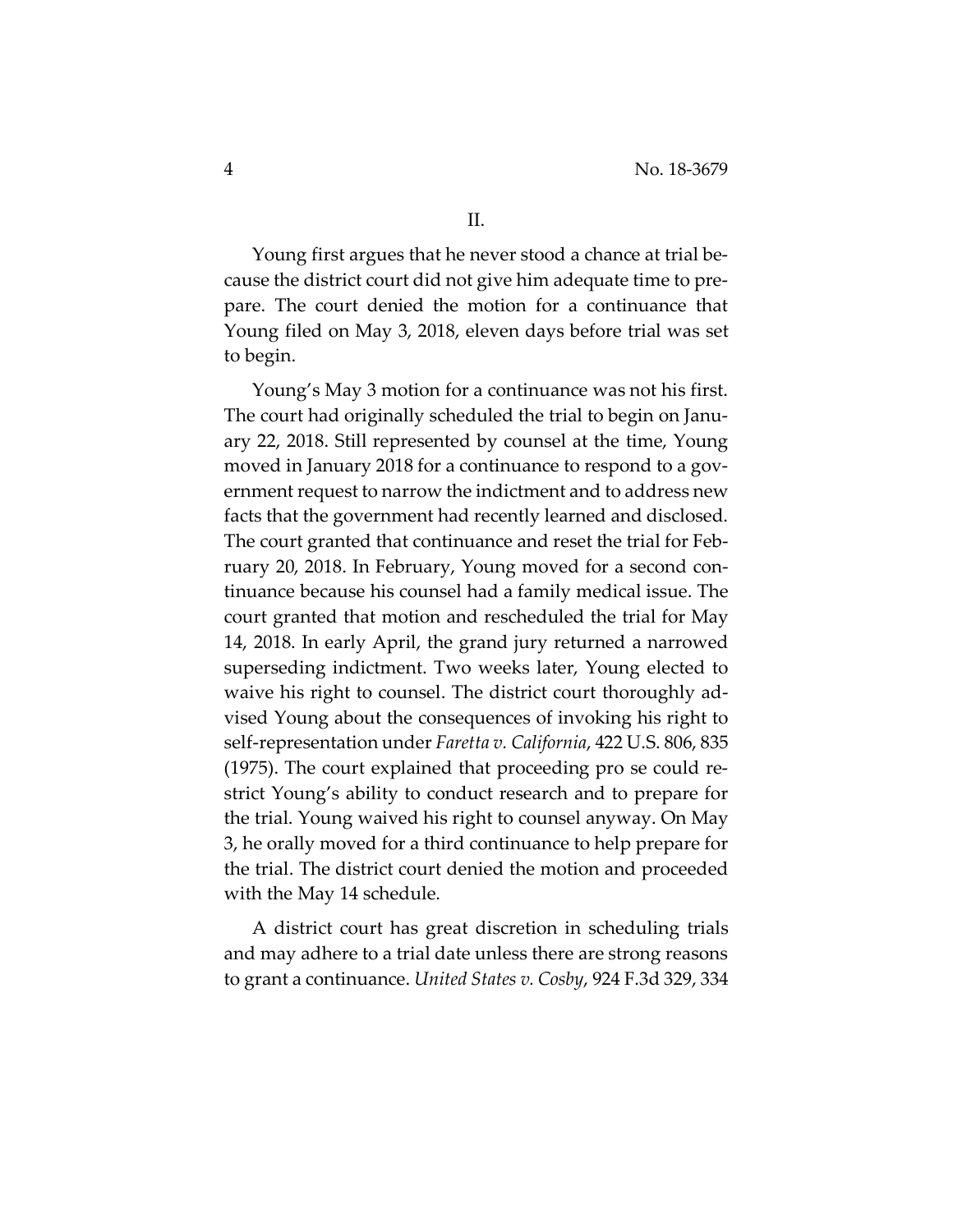Young first argues that he never stood a chance at trial because the district court did not give him adequate time to prepare. The court denied the motion for a continuance that Young filed on May 3, 2018, eleven days before trial was set to begin.

Young's May 3 motion for a continuance was not his first. The court had originally scheduled the trial to begin on January 22, 2018. Still represented by counsel at the time, Young moved in January 2018 for a continuance to respond to a government request to narrow the indictment and to address new facts that the government had recently learned and disclosed. The court granted that continuance and reset the trial for February 20, 2018. In February, Young moved for a second continuance because his counsel had a family medical issue. The court granted that motion and rescheduled the trial for May 14, 2018. In early April, the grand jury returned a narrowed superseding indictment. Two weeks later, Young elected to waive his right to counsel. The district court thoroughly advised Young about the consequences of invoking his right to self-representation under *Faretta v. California*, 422 U.S. 806, 835 (1975). The court explained that proceeding pro se could restrict Young's ability to conduct research and to prepare for the trial. Young waived his right to counsel anyway. On May 3, he orally moved for a third continuance to help prepare for the trial. The district court denied the motion and proceeded with the May 14 schedule.

A district court has great discretion in scheduling trials and may adhere to a trial date unless there are strong reasons to grant a continuance. *United States v. Cosby*, 924 F.3d 329, 334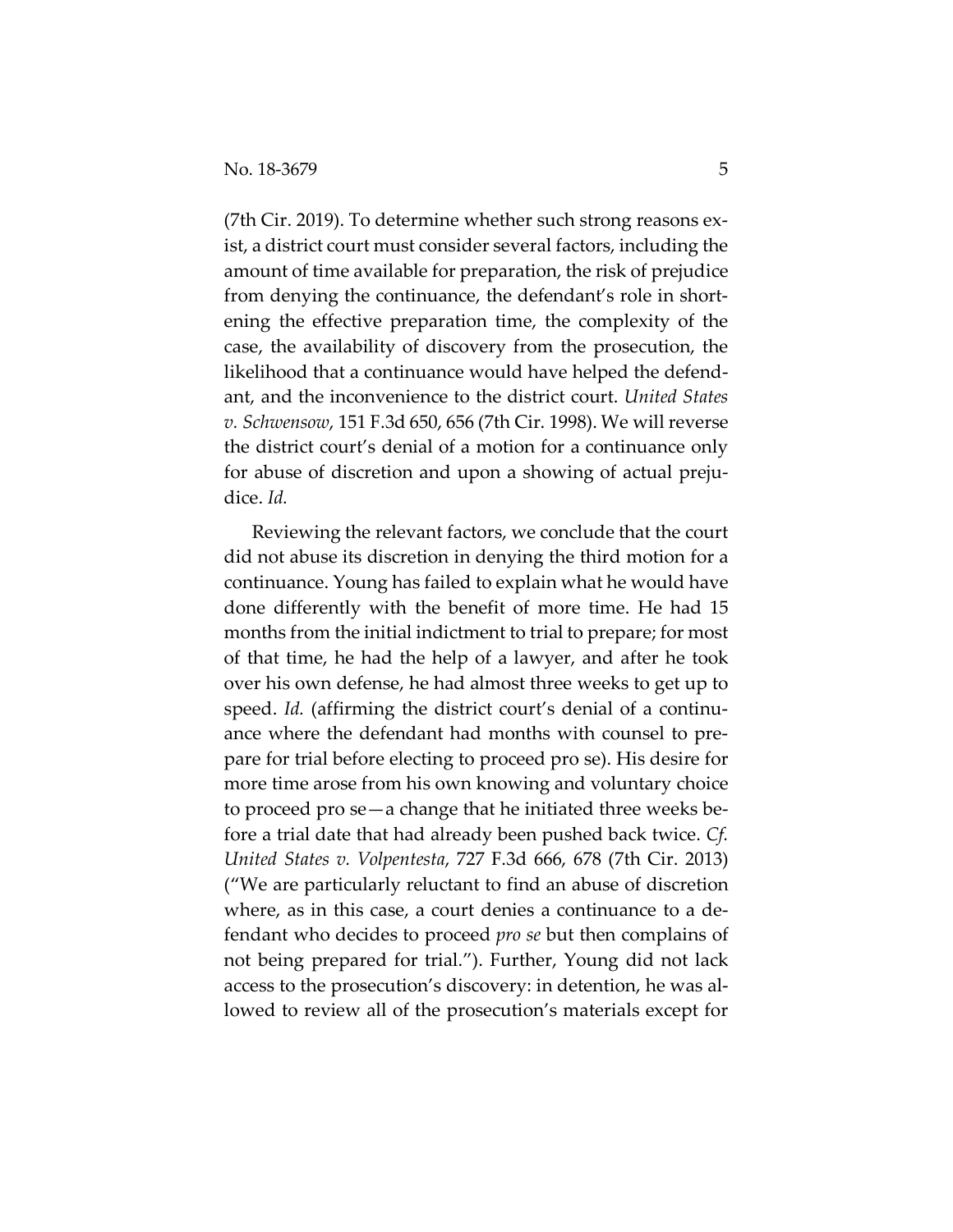(7th Cir. 2019). To determine whether such strong reasons exist, a district court must consider several factors, including the amount of time available for preparation, the risk of prejudice from denying the continuance, the defendant's role in shortening the effective preparation time, the complexity of the case, the availability of discovery from the prosecution, the likelihood that a continuance would have helped the defendant, and the inconvenience to the district court. *United States v. Schwensow*, 151 F.3d 650, 656 (7th Cir. 1998). We will reverse the district court's denial of a motion for a continuance only for abuse of discretion and upon a showing of actual prejudice. *Id.*

Reviewing the relevant factors, we conclude that the court did not abuse its discretion in denying the third motion for a continuance. Young has failed to explain what he would have done differently with the benefit of more time. He had 15 months from the initial indictment to trial to prepare; for most of that time, he had the help of a lawyer, and after he took over his own defense, he had almost three weeks to get up to speed. *Id.* (affirming the district court's denial of a continuance where the defendant had months with counsel to prepare for trial before electing to proceed pro se). His desire for more time arose from his own knowing and voluntary choice to proceed pro se—a change that he initiated three weeks before a trial date that had already been pushed back twice. *Cf. United States v. Volpentesta*, 727 F.3d 666, 678 (7th Cir. 2013) ("We are particularly reluctant to find an abuse of discretion where, as in this case, a court denies a continuance to a defendant who decides to proceed *pro se* but then complains of not being prepared for trial."). Further, Young did not lack access to the prosecution's discovery: in detention, he was allowed to review all of the prosecution's materials except for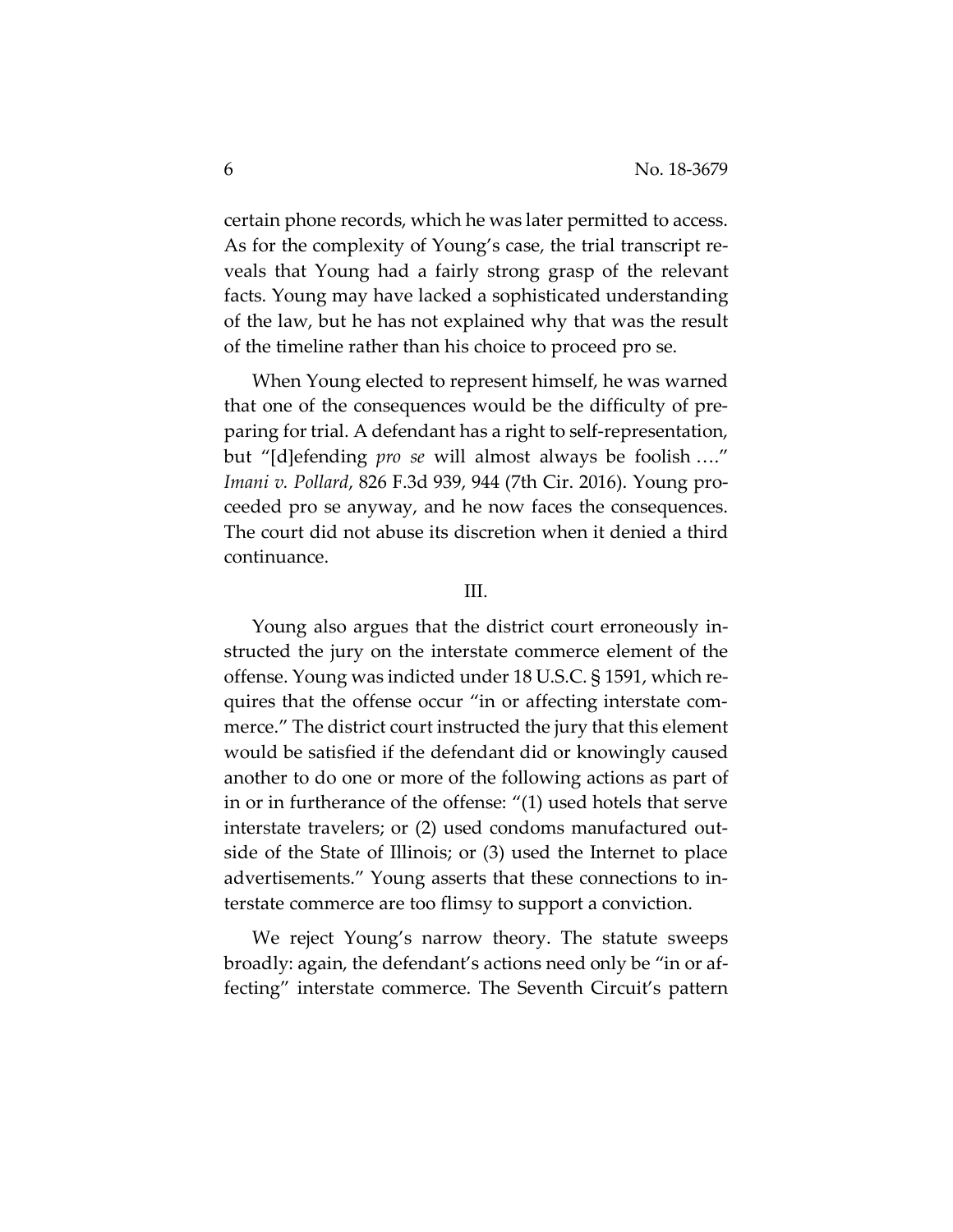certain phone records, which he was later permitted to access. As for the complexity of Young's case, the trial transcript reveals that Young had a fairly strong grasp of the relevant facts. Young may have lacked a sophisticated understanding of the law, but he has not explained why that was the result of the timeline rather than his choice to proceed pro se.

When Young elected to represent himself, he was warned that one of the consequences would be the difficulty of preparing for trial. A defendant has a right to self-representation, but "[d]efending *pro se* will almost always be foolish …." *Imani v. Pollard*, 826 F.3d 939, 944 (7th Cir. 2016). Young proceeded pro se anyway, and he now faces the consequences. The court did not abuse its discretion when it denied a third continuance.

## III.

Young also argues that the district court erroneously instructed the jury on the interstate commerce element of the offense. Young was indicted under 18 U.S.C. § 1591, which requires that the offense occur "in or affecting interstate commerce." The district court instructed the jury that this element would be satisfied if the defendant did or knowingly caused another to do one or more of the following actions as part of in or in furtherance of the offense: "(1) used hotels that serve interstate travelers; or (2) used condoms manufactured outside of the State of Illinois; or (3) used the Internet to place advertisements." Young asserts that these connections to interstate commerce are too flimsy to support a conviction.

We reject Young's narrow theory. The statute sweeps broadly: again, the defendant's actions need only be "in or affecting" interstate commerce. The Seventh Circuit's pattern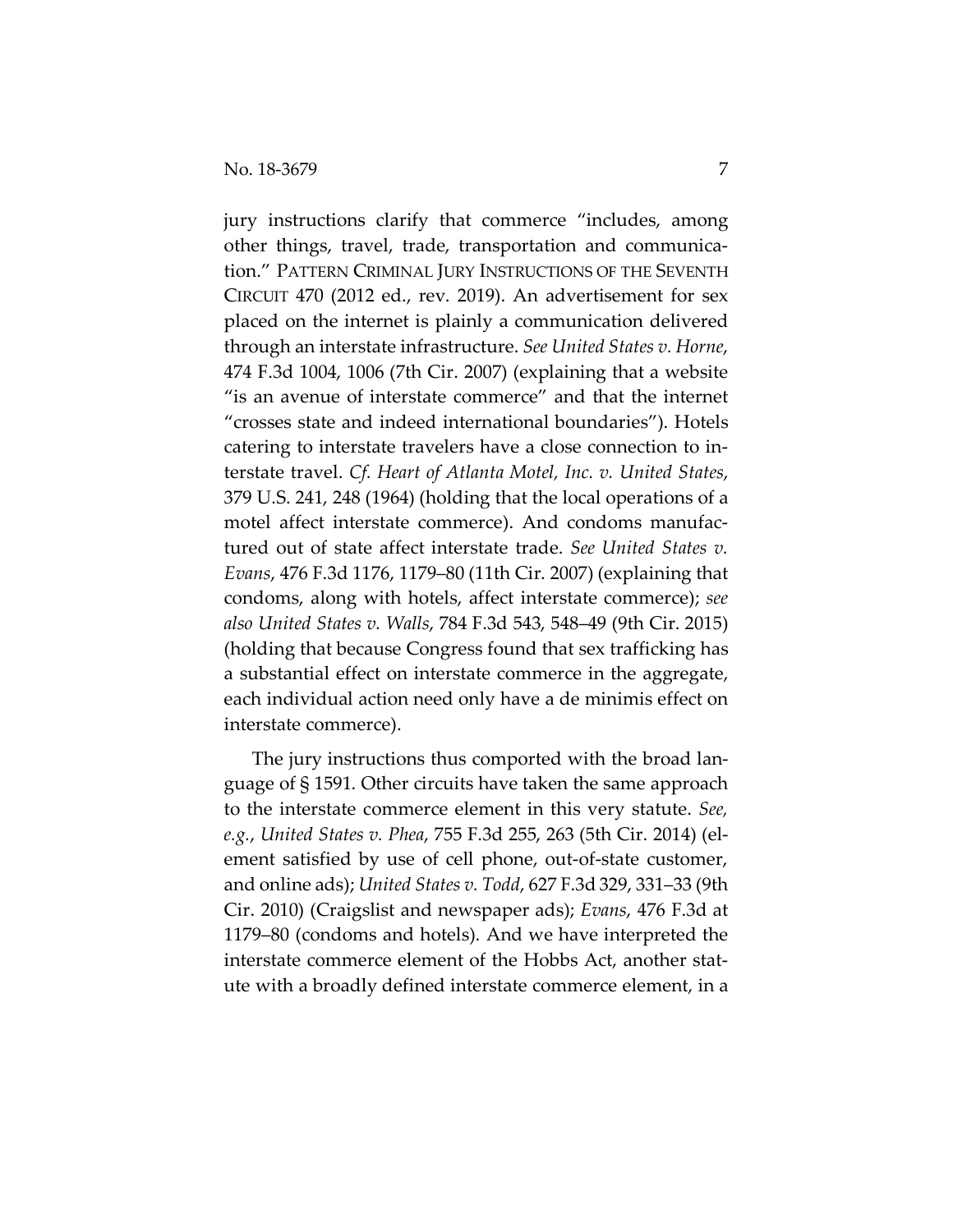jury instructions clarify that commerce "includes, among other things, travel, trade, transportation and communication." PATTERN CRIMINAL JURY INSTRUCTIONS OF THE SEVENTH CIRCUIT 470 (2012 ed., rev. 2019). An advertisement for sex placed on the internet is plainly a communication delivered through an interstate infrastructure. *See United States v. Horne*, 474 F.3d 1004, 1006 (7th Cir. 2007) (explaining that a website "is an avenue of interstate commerce" and that the internet "crosses state and indeed international boundaries"). Hotels catering to interstate travelers have a close connection to interstate travel. *Cf. Heart of Atlanta Motel, Inc. v. United States*, 379 U.S. 241, 248 (1964) (holding that the local operations of a motel affect interstate commerce). And condoms manufactured out of state affect interstate trade. *See United States v. Evans*, 476 F.3d 1176, 1179–80 (11th Cir. 2007) (explaining that condoms, along with hotels, affect interstate commerce); *see also United States v. Walls*, 784 F.3d 543, 548–49 (9th Cir. 2015) (holding that because Congress found that sex trafficking has a substantial effect on interstate commerce in the aggregate, each individual action need only have a de minimis effect on interstate commerce).

The jury instructions thus comported with the broad language of § 1591. Other circuits have taken the same approach to the interstate commerce element in this very statute. *See, e.g.*, *United States v. Phea*, 755 F.3d 255, 263 (5th Cir. 2014) (element satisfied by use of cell phone, out-of-state customer, and online ads); *United States v. Todd*, 627 F.3d 329, 331–33 (9th Cir. 2010) (Craigslist and newspaper ads); *Evans*, 476 F.3d at 1179–80 (condoms and hotels). And we have interpreted the interstate commerce element of the Hobbs Act, another statute with a broadly defined interstate commerce element, in a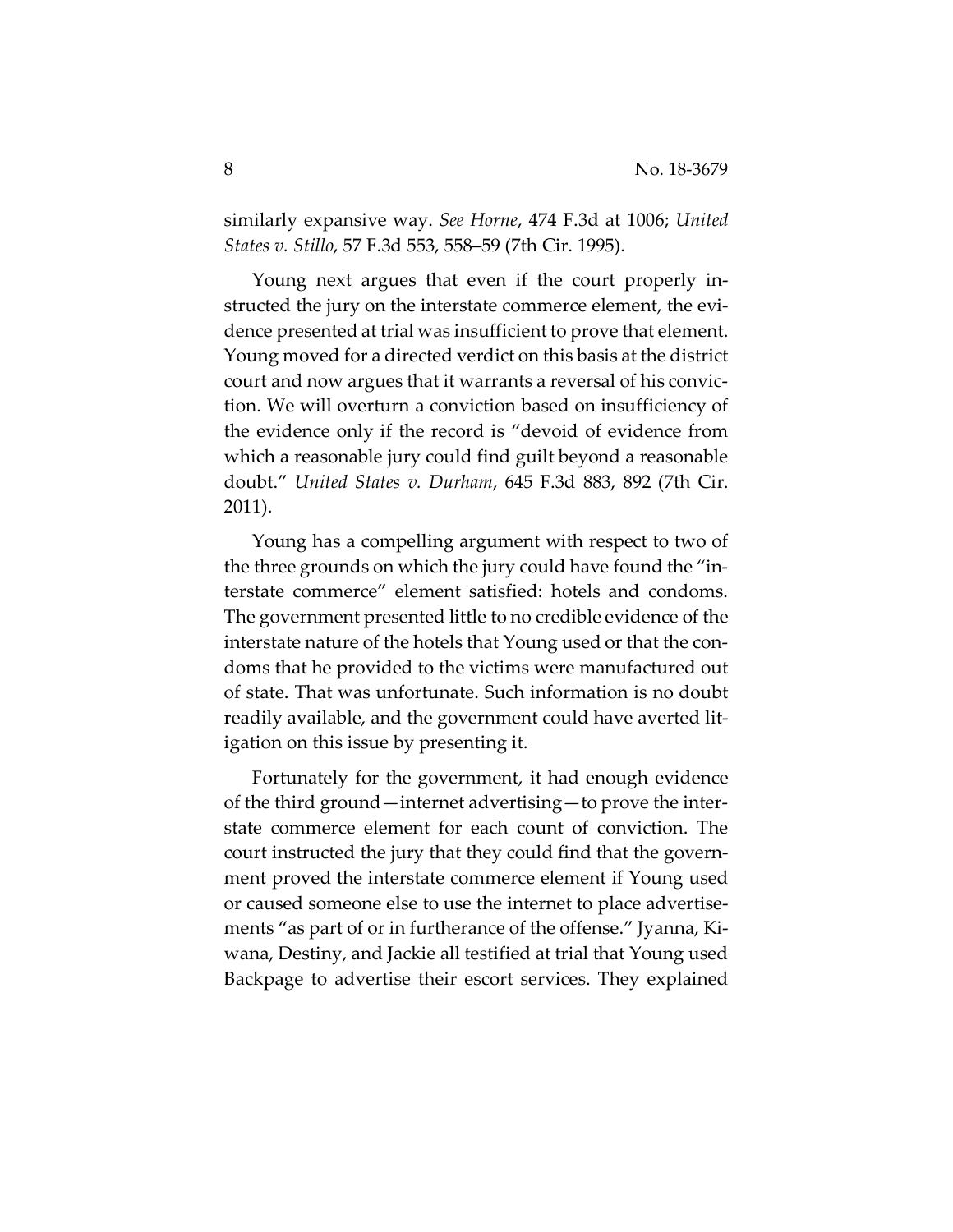similarly expansive way. *See Horne*, 474 F.3d at 1006; *United States v. Stillo*, 57 F.3d 553, 558–59 (7th Cir. 1995).

Young next argues that even if the court properly instructed the jury on the interstate commerce element, the evidence presented at trial was insufficient to prove that element. Young moved for a directed verdict on this basis at the district court and now argues that it warrants a reversal of his conviction. We will overturn a conviction based on insufficiency of the evidence only if the record is "devoid of evidence from which a reasonable jury could find guilt beyond a reasonable doubt." *United States v. Durham*, 645 F.3d 883, 892 (7th Cir. 2011).

Young has a compelling argument with respect to two of the three grounds on which the jury could have found the "interstate commerce" element satisfied: hotels and condoms. The government presented little to no credible evidence of the interstate nature of the hotels that Young used or that the condoms that he provided to the victims were manufactured out of state. That was unfortunate. Such information is no doubt readily available, and the government could have averted litigation on this issue by presenting it.

Fortunately for the government, it had enough evidence of the third ground—internet advertising—to prove the interstate commerce element for each count of conviction. The court instructed the jury that they could find that the government proved the interstate commerce element if Young used or caused someone else to use the internet to place advertisements "as part of or in furtherance of the offense." Jyanna, Kiwana, Destiny, and Jackie all testified at trial that Young used Backpage to advertise their escort services. They explained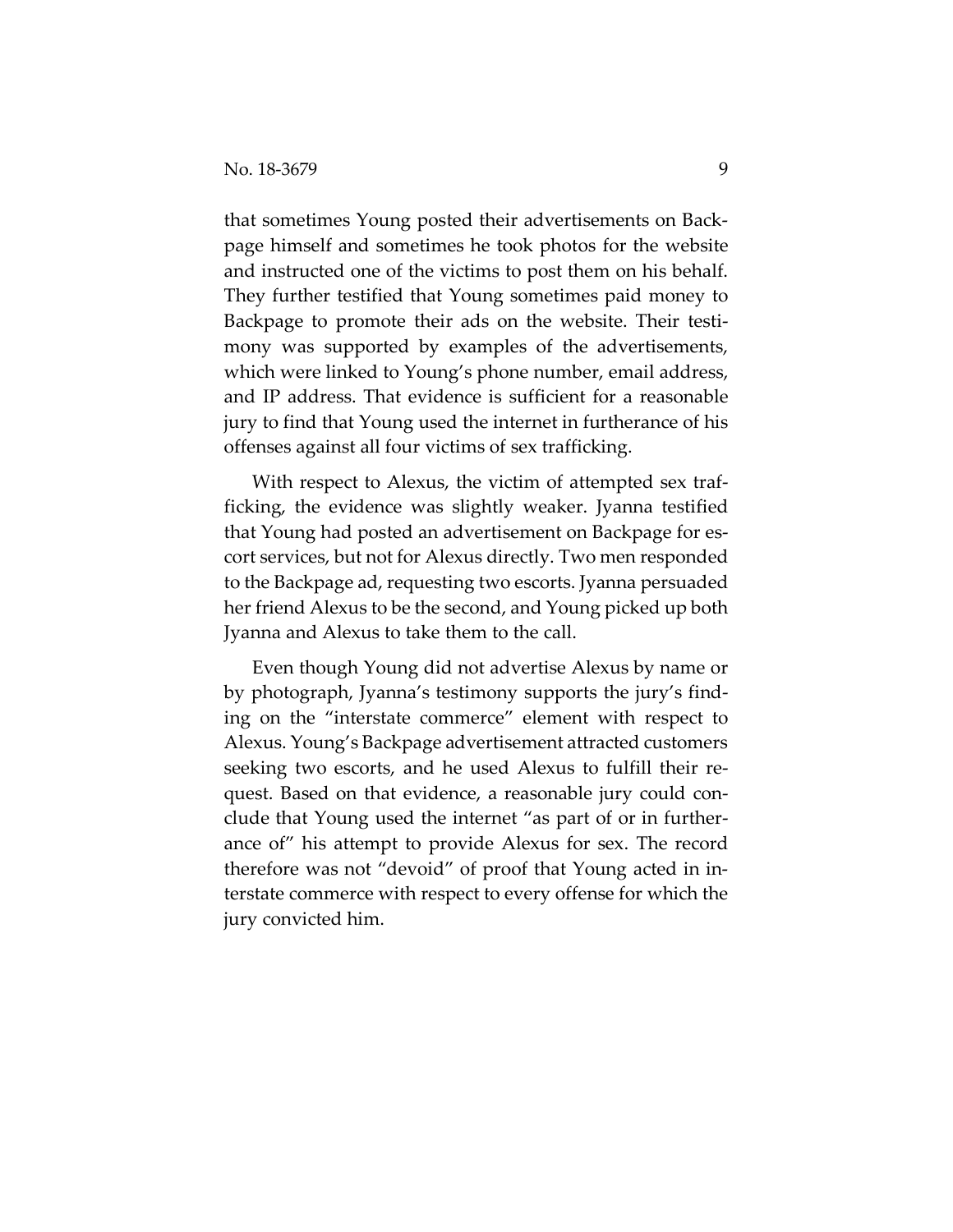that sometimes Young posted their advertisements on Backpage himself and sometimes he took photos for the website and instructed one of the victims to post them on his behalf. They further testified that Young sometimes paid money to Backpage to promote their ads on the website. Their testimony was supported by examples of the advertisements, which were linked to Young's phone number, email address, and IP address. That evidence is sufficient for a reasonable jury to find that Young used the internet in furtherance of his offenses against all four victims of sex trafficking.

With respect to Alexus, the victim of attempted sex trafficking, the evidence was slightly weaker. Jyanna testified that Young had posted an advertisement on Backpage for escort services, but not for Alexus directly. Two men responded to the Backpage ad, requesting two escorts. Jyanna persuaded her friend Alexus to be the second, and Young picked up both Jyanna and Alexus to take them to the call.

Even though Young did not advertise Alexus by name or by photograph, Jyanna's testimony supports the jury's finding on the "interstate commerce" element with respect to Alexus. Young's Backpage advertisement attracted customers seeking two escorts, and he used Alexus to fulfill their request. Based on that evidence, a reasonable jury could conclude that Young used the internet "as part of or in furtherance of" his attempt to provide Alexus for sex. The record therefore was not "devoid" of proof that Young acted in interstate commerce with respect to every offense for which the jury convicted him.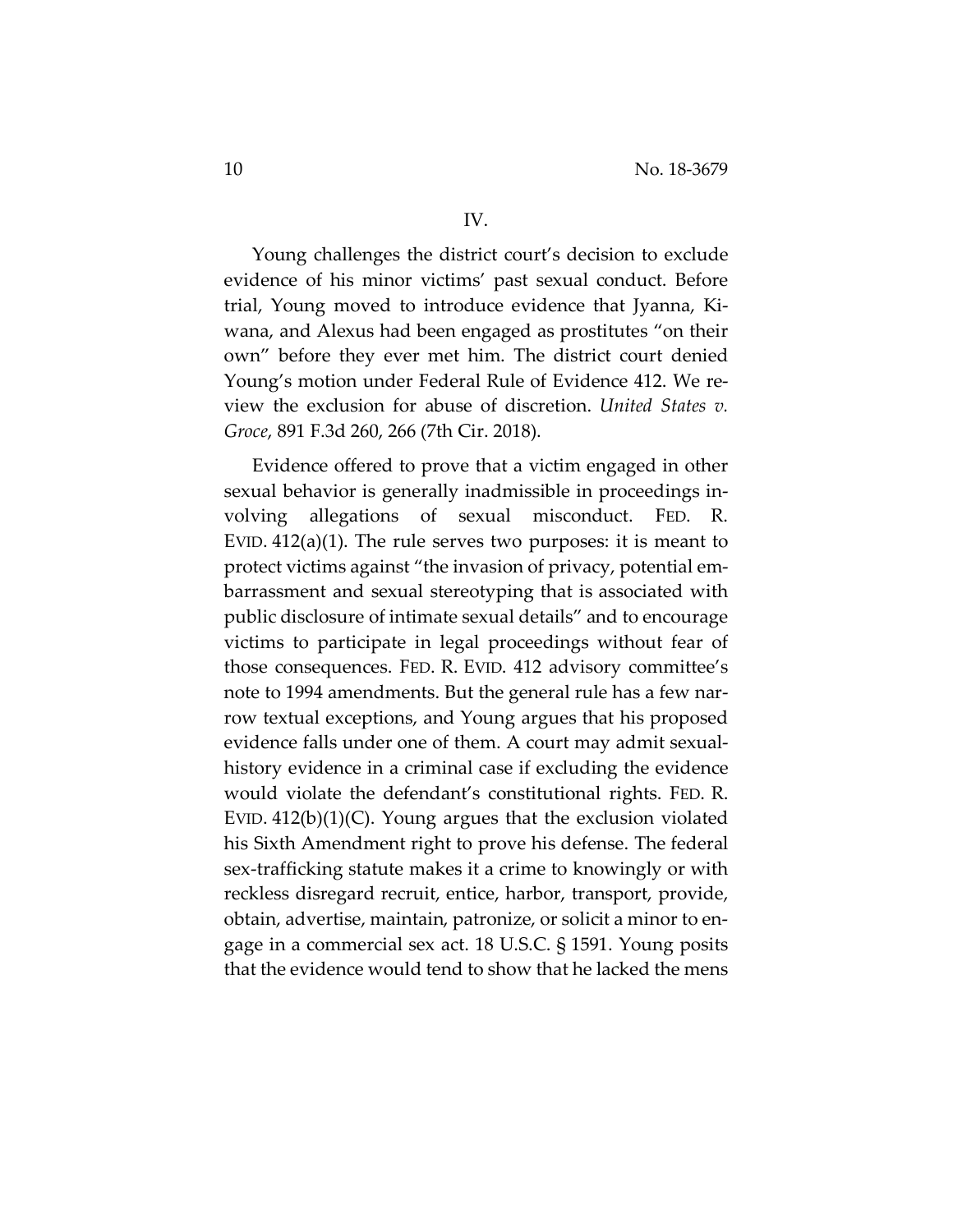#### IV.

Young challenges the district court's decision to exclude evidence of his minor victims' past sexual conduct. Before trial, Young moved to introduce evidence that Jyanna, Kiwana, and Alexus had been engaged as prostitutes "on their own" before they ever met him. The district court denied Young's motion under Federal Rule of Evidence 412. We review the exclusion for abuse of discretion. *United States v. Groce*, 891 F.3d 260, 266 (7th Cir. 2018).

Evidence offered to prove that a victim engaged in other sexual behavior is generally inadmissible in proceedings involving allegations of sexual misconduct. FED. R. EVID. 412(a)(1). The rule serves two purposes: it is meant to protect victims against "the invasion of privacy, potential embarrassment and sexual stereotyping that is associated with public disclosure of intimate sexual details" and to encourage victims to participate in legal proceedings without fear of those consequences. FED. R. EVID. 412 advisory committee's note to 1994 amendments. But the general rule has a few narrow textual exceptions, and Young argues that his proposed evidence falls under one of them. A court may admit sexualhistory evidence in a criminal case if excluding the evidence would violate the defendant's constitutional rights. FED. R. EVID.  $412(b)(1)(C)$ . Young argues that the exclusion violated his Sixth Amendment right to prove his defense. The federal sex-trafficking statute makes it a crime to knowingly or with reckless disregard recruit, entice, harbor, transport, provide, obtain, advertise, maintain, patronize, or solicit a minor to engage in a commercial sex act. 18 U.S.C. § 1591. Young posits that the evidence would tend to show that he lacked the mens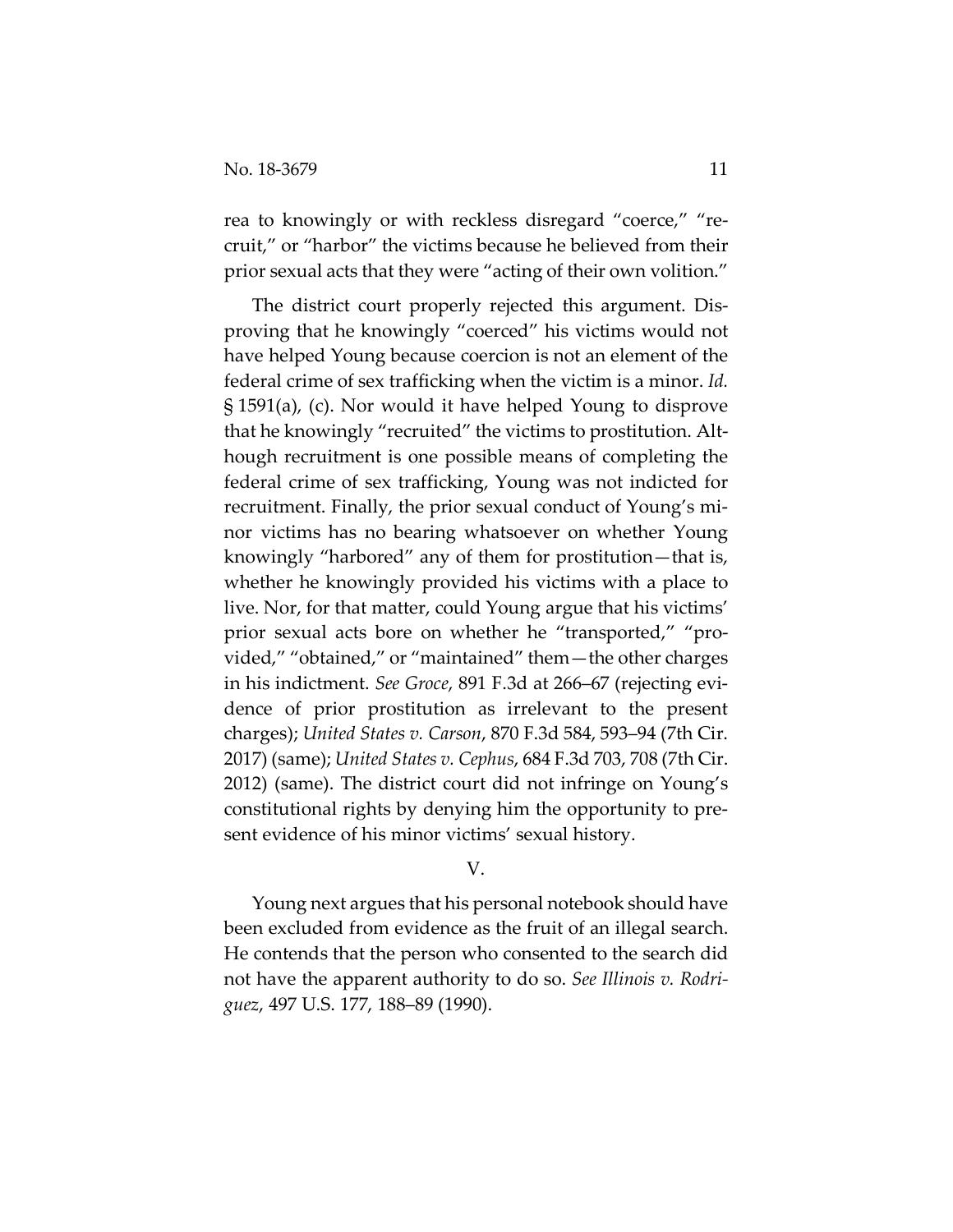rea to knowingly or with reckless disregard "coerce," "recruit," or "harbor" the victims because he believed from their prior sexual acts that they were "acting of their own volition."

The district court properly rejected this argument. Disproving that he knowingly "coerced" his victims would not have helped Young because coercion is not an element of the federal crime of sex trafficking when the victim is a minor. *Id.* § 1591(a), (c). Nor would it have helped Young to disprove that he knowingly "recruited" the victims to prostitution. Although recruitment is one possible means of completing the federal crime of sex trafficking, Young was not indicted for recruitment. Finally, the prior sexual conduct of Young's minor victims has no bearing whatsoever on whether Young knowingly "harbored" any of them for prostitution—that is, whether he knowingly provided his victims with a place to live. Nor, for that matter, could Young argue that his victims' prior sexual acts bore on whether he "transported," "provided," "obtained," or "maintained" them—the other charges in his indictment. *See Groce*, 891 F.3d at 266–67 (rejecting evidence of prior prostitution as irrelevant to the present charges); *United States v. Carson*, 870 F.3d 584, 593–94 (7th Cir. 2017) (same); *United States v. Cephus*, 684 F.3d 703, 708 (7th Cir. 2012) (same). The district court did not infringe on Young's constitutional rights by denying him the opportunity to present evidence of his minor victims' sexual history.

V.

Young next argues that his personal notebook should have been excluded from evidence as the fruit of an illegal search. He contends that the person who consented to the search did not have the apparent authority to do so. *See Illinois v. Rodriguez*, 497 U.S. 177, 188–89 (1990).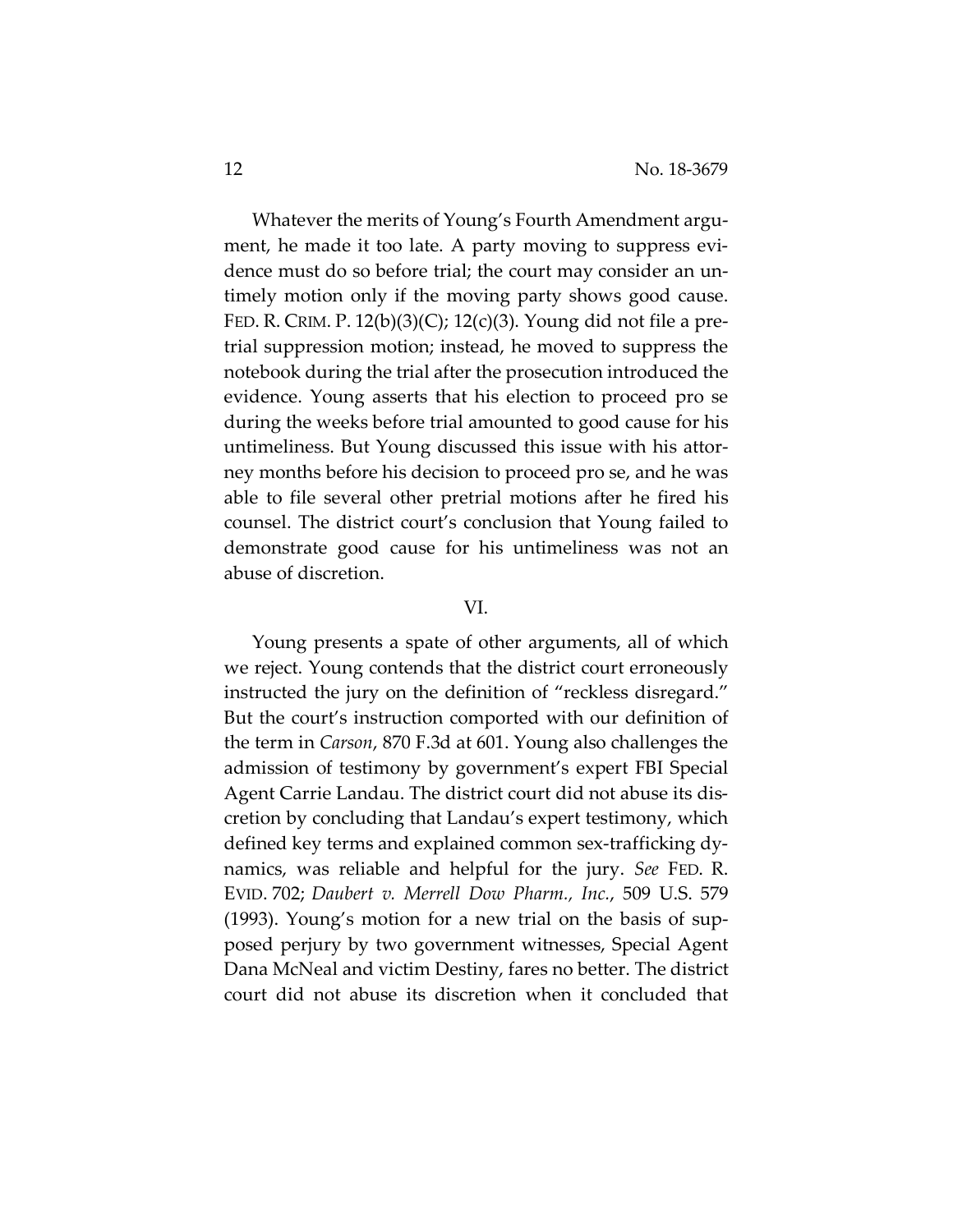Whatever the merits of Young's Fourth Amendment argument, he made it too late. A party moving to suppress evidence must do so before trial; the court may consider an untimely motion only if the moving party shows good cause. FED. R. CRIM. P.  $12(b)(3)(C)$ ;  $12(c)(3)$ . Young did not file a pretrial suppression motion; instead, he moved to suppress the notebook during the trial after the prosecution introduced the evidence. Young asserts that his election to proceed pro se during the weeks before trial amounted to good cause for his untimeliness. But Young discussed this issue with his attorney months before his decision to proceed pro se, and he was able to file several other pretrial motions after he fired his counsel. The district court's conclusion that Young failed to demonstrate good cause for his untimeliness was not an abuse of discretion.

### VI.

Young presents a spate of other arguments, all of which we reject. Young contends that the district court erroneously instructed the jury on the definition of "reckless disregard." But the court's instruction comported with our definition of the term in *Carson*, 870 F.3d at 601. Young also challenges the admission of testimony by government's expert FBI Special Agent Carrie Landau. The district court did not abuse its discretion by concluding that Landau's expert testimony, which defined key terms and explained common sex-trafficking dynamics, was reliable and helpful for the jury. *See* FED. R. EVID. 702; *Daubert v. Merrell Dow Pharm., Inc.*, 509 U.S. 579 (1993). Young's motion for a new trial on the basis of supposed perjury by two government witnesses, Special Agent Dana McNeal and victim Destiny, fares no better. The district court did not abuse its discretion when it concluded that